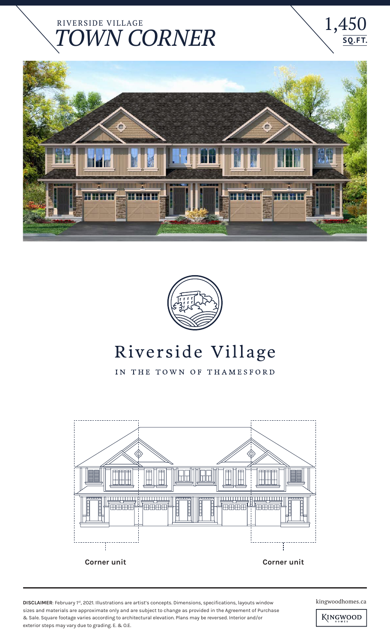## RIVERSIDE VILLAGE WN CORNER





## Riverside Village

IN THE TOWN OF THAMESFORD



**DISCLAIMER**: February 1st, 2021. Illustrations are artist's concepts. Dimensions, specifications, layouts window kingwoodhomes.ca sizes and materials are approximate only and are subject to change as provided in the Agreement of Purchase & Sale. Square footage varies according to architectural elevation. Plans may be reversed. Interior and/or exterior steps may vary due to grading. E. & O.E.

1,450

**SQ. FT.**

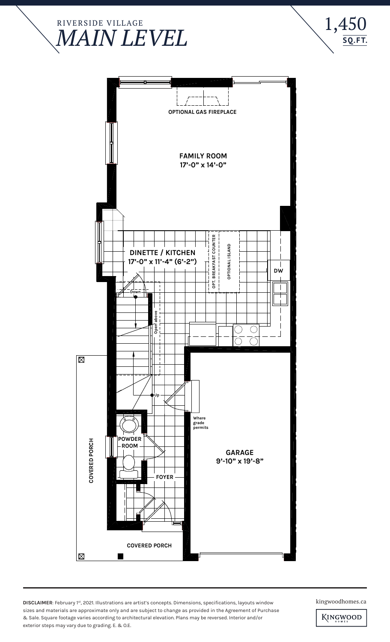





**DISCLAIMER**: February 1st, 2021. Illustrations are artist's concepts. Dimensions, specifications, layouts window kingwoodhomes.ca sizes and materials are approximate only and are subject to change as provided in the Agreement of Purchase & Sale. Square footage varies according to architectural elevation. Plans may be reversed. Interior and/or exterior steps may vary due to grading. E. & O.E.

KINGWOOD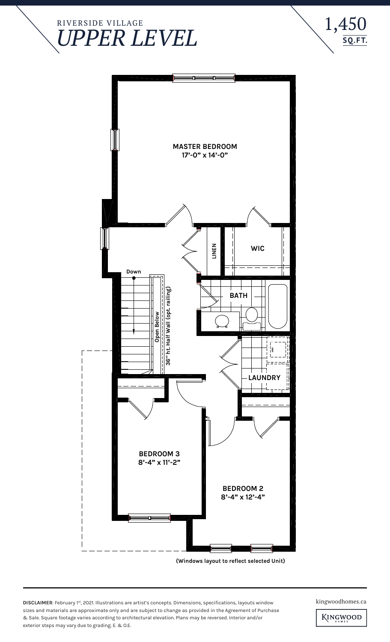



**DISCLAIMER**: February 1st, 2021. Illustrations are artist's concepts. Dimensions, specifications, layouts window kingwoodhomes.ca sizes and materials are approximate only and are subject to change as provided in the Agreement of Purchase & Sale. Square footage varies according to architectural elevation. Plans may be reversed. Interior and/or exterior steps may vary due to grading. E. & O.E.

 $1,450$ <br> $\frac{5Q.FT}{5Q.FT}$ 

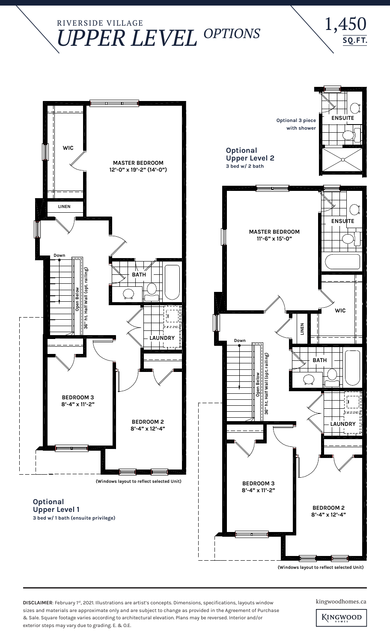## RIVERSIDE VILLAGE **UPPER LEVEL OPTIONS**





**(Windows layout to reflect selected Unit)**

**DISCLAIMER**: February 1st, 2021. Illustrations are artist's concepts. Dimensions, specifications, layouts window kingwoodhomes.ca sizes and materials are approximate only and are subject to change as provided in the Agreement of Purchase & Sale. Square footage varies according to architectural elevation. Plans may be reversed. Interior and/or exterior steps may vary due to grading. E. & O.E.

KINGWOOD